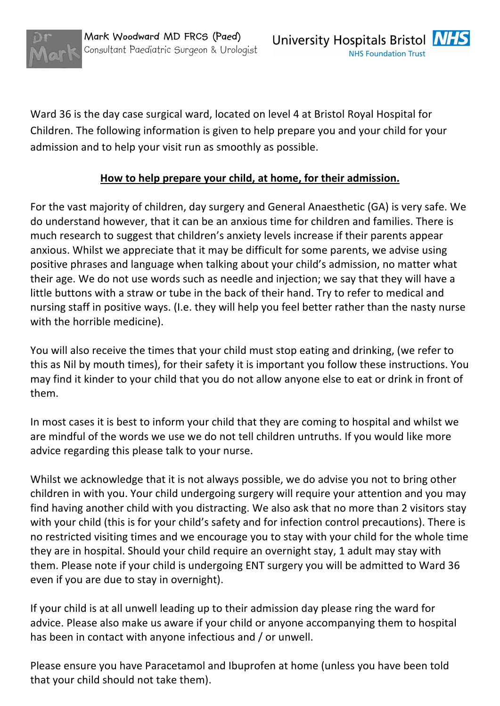

Ward 36 is the day case surgical ward, located on level 4 at Bristol Royal Hospital for Children. The following information is given to help prepare you and your child for your admission and to help your visit run as smoothly as possible.

## How to help prepare your child, at home, for their admission.

For the vast majority of children, day surgery and General Anaesthetic (GA) is very safe. We do understand however, that it can be an anxious time for children and families. There is much research to suggest that children's anxiety levels increase if their parents appear anxious. Whilst we appreciate that it may be difficult for some parents, we advise using positive phrases and language when talking about your child's admission, no matter what their age. We do not use words such as needle and injection; we say that they will have a little buttons with a straw or tube in the back of their hand. Try to refer to medical and nursing staff in positive ways. (I.e. they will help you feel better rather than the nasty nurse with the horrible medicine).

You will also receive the times that your child must stop eating and drinking, (we refer to this as Nil by mouth times), for their safety it is important you follow these instructions. You may find it kinder to your child that you do not allow anyone else to eat or drink in front of them.

In most cases it is best to inform your child that they are coming to hospital and whilst we are mindful of the words we use we do not tell children untruths. If you would like more advice regarding this please talk to your nurse.

Whilst we acknowledge that it is not always possible, we do advise you not to bring other children in with you. Your child undergoing surgery will require your attention and you may find having another child with you distracting. We also ask that no more than 2 visitors stay with your child (this is for your child's safety and for infection control precautions). There is no restricted visiting times and we encourage you to stay with your child for the whole time they are in hospital. Should your child require an overnight stay, 1 adult may stay with them. Please note if your child is undergoing ENT surgery you will be admitted to Ward 36 even if you are due to stay in overnight).

If your child is at all unwell leading up to their admission day please ring the ward for advice. Please also make us aware if your child or anyone accompanying them to hospital has been in contact with anyone infectious and / or unwell.

Please ensure you have Paracetamol and Ibuprofen at home (unless you have been told that your child should not take them).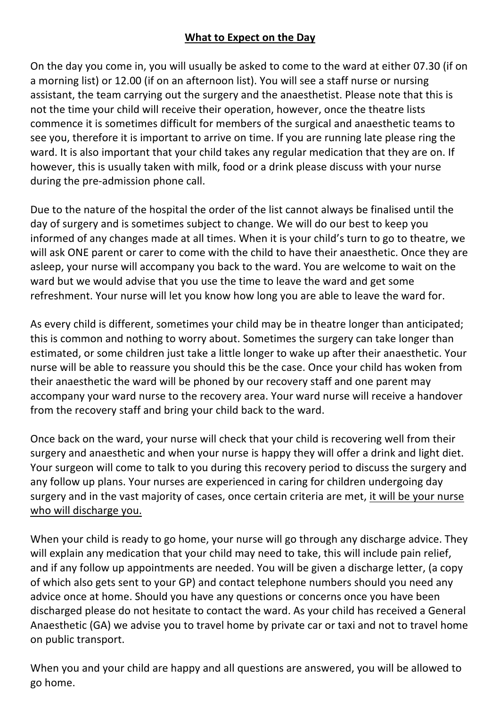## **What to Expect on the Day**

On the day you come in, you will usually be asked to come to the ward at either 07.30 (if on a morning list) or 12.00 (if on an afternoon list). You will see a staff nurse or nursing assistant, the team carrying out the surgery and the anaesthetist. Please note that this is not the time your child will receive their operation, however, once the theatre lists commence it is sometimes difficult for members of the surgical and anaesthetic teams to see you, therefore it is important to arrive on time. If you are running late please ring the ward. It is also important that your child takes any regular medication that they are on. If however, this is usually taken with milk, food or a drink please discuss with your nurse during the pre-admission phone call.

Due to the nature of the hospital the order of the list cannot always be finalised until the day of surgery and is sometimes subject to change. We will do our best to keep you informed of any changes made at all times. When it is your child's turn to go to theatre, we will ask ONE parent or carer to come with the child to have their anaesthetic. Once they are asleep, your nurse will accompany you back to the ward. You are welcome to wait on the ward but we would advise that you use the time to leave the ward and get some refreshment. Your nurse will let you know how long you are able to leave the ward for.

As every child is different, sometimes your child may be in theatre longer than anticipated; this is common and nothing to worry about. Sometimes the surgery can take longer than estimated, or some children just take a little longer to wake up after their anaesthetic. Your nurse will be able to reassure you should this be the case. Once your child has woken from their anaesthetic the ward will be phoned by our recovery staff and one parent may accompany your ward nurse to the recovery area. Your ward nurse will receive a handover from the recovery staff and bring your child back to the ward.

Once back on the ward, your nurse will check that your child is recovering well from their surgery and anaesthetic and when your nurse is happy they will offer a drink and light diet. Your surgeon will come to talk to you during this recovery period to discuss the surgery and any follow up plans. Your nurses are experienced in caring for children undergoing day surgery and in the vast majority of cases, once certain criteria are met, it will be your nurse who will discharge you.

When your child is ready to go home, your nurse will go through any discharge advice. They will explain any medication that your child may need to take, this will include pain relief, and if any follow up appointments are needed. You will be given a discharge letter, (a copy of which also gets sent to your GP) and contact telephone numbers should you need any advice once at home. Should you have any questions or concerns once you have been discharged please do not hesitate to contact the ward. As your child has received a General Anaesthetic (GA) we advise you to travel home by private car or taxi and not to travel home on public transport.

When you and your child are happy and all questions are answered, you will be allowed to go home.